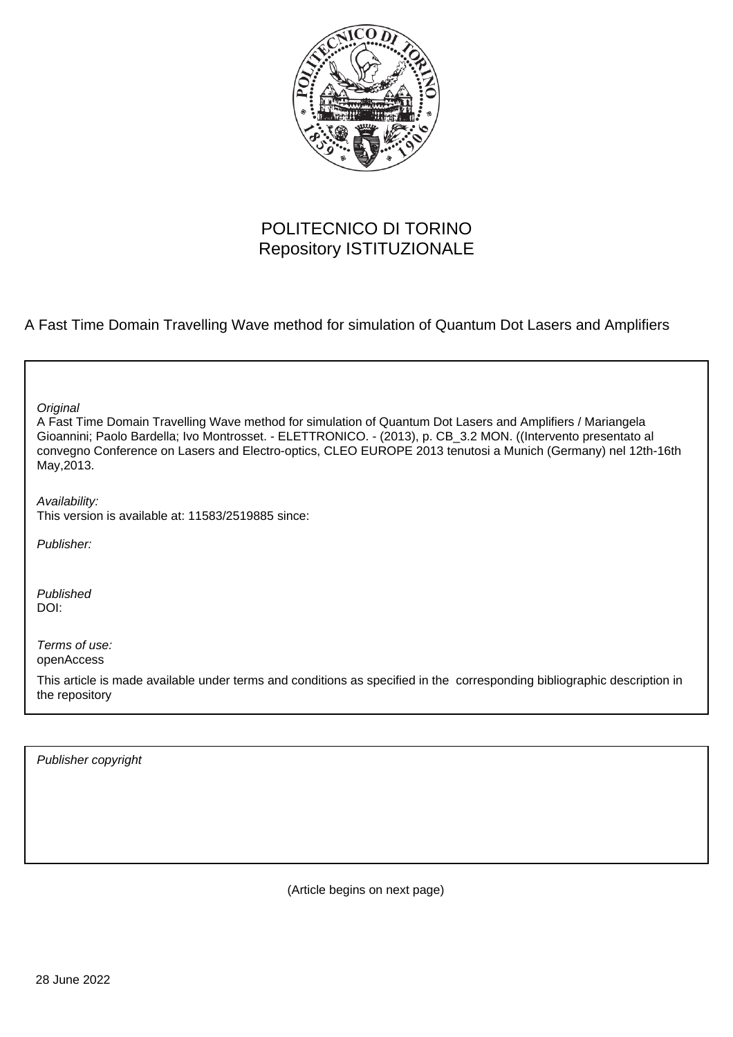

## POLITECNICO DI TORINO Repository ISTITUZIONALE

A Fast Time Domain Travelling Wave method for simulation of Quantum Dot Lasers and Amplifiers

**Original** 

A Fast Time Domain Travelling Wave method for simulation of Quantum Dot Lasers and Amplifiers / Mariangela Gioannini; Paolo Bardella; Ivo Montrosset. - ELETTRONICO. - (2013), p. CB\_3.2 MON. ((Intervento presentato al convegno Conference on Lasers and Electro-optics, CLEO EUROPE 2013 tenutosi a Munich (Germany) nel 12th-16th May,2013.

Availability:

This version is available at: 11583/2519885 since:

Publisher:

Published DOI:

Terms of use: openAccess

This article is made available under terms and conditions as specified in the corresponding bibliographic description in the repository

Publisher copyright

(Article begins on next page)